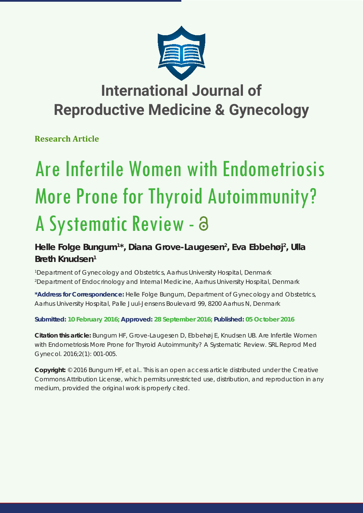

## **International Journal of Reproductive Medicine & Gynecology**

**Research Article**

# Are Infertile Women with Endometriosis More Prone for Thyroid Autoimmunity? A Systematic Review -

### **Helle Folge Bungum1 \*, Diana Grove-Laugesen2 , Eva Ebbehøj2 , Ulla Breth Knudsen1**

*1 Department of Gynecology and Obstetrics, Aarhus University Hospital, Denmark 2 Department of Endocrinology and Internal Medicine, Aarhus University Hospital, Denmark*

**\*Address for Correspondence:** Helle Folge Bungum, Department of Gynecology and Obstetrics, Aarhus University Hospital, Palle Juul-Jensens Boulevard 99, 8200 Aarhus N, Denmark

#### **Submitted: 10 February 2016; Approved: 28 September 2016; Published: 05 October 2016**

**Citation this article:** Bungum HF, Grove-Laugesen D, Ebbehøj E, Knudsen UB. Are Infertile Women with Endometriosis More Prone for Thyroid Autoimmunity? A Systematic Review. SRL Reprod Med Gynecol. 2016;2(1): 001-005.

**Copyright:** © 2016 Bungum HF, et al.. This is an open access article distributed under the Creative Commons Attribution License, which permits unrestricted use, distribution, and reproduction in any medium, provided the original work is properly cited.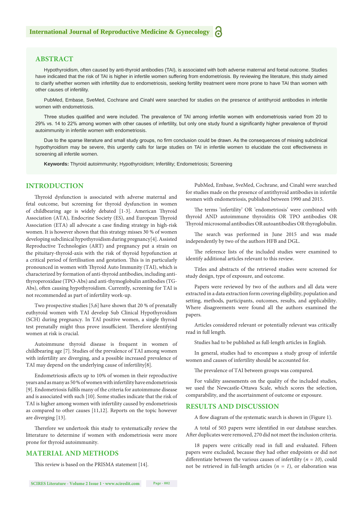#### **ABSTRACT**

Hypothyroidism, often caused by anti-thyroid antibodies (TAI), is associated with both adverse maternal and foetal outcome. Studies have indicated that the risk of TAI is higher in infertile women suffering from endometriosis. By reviewing the literature, this study aimed to clarify whether women with infertility due to endometriosis, seeking fertility treatment were more prone to have TAI than women with other causes of infertility.

PubMed, Embase, SveMed, Cochrane and Cinahl were searched for studies on the presence of antithyroid antibodies in infertile women with endometriosis.

Three studies qualified and were included. The prevalence of TAI among infertile women with endometriosis varied from 20 to 29% vs. 14 to 22% among women with other causes of infertility, but only one study found a significantly higher prevalence of thyroid autoimmunity in infertile women with endometriosis.

Due to the sparse literature and small study groups, no firm conclusion could be drawn. As the consequences of missing subclinical hypothyroidism may be severe, this urgently calls for large studies on TAI in infertile women to elucidate the cost effectiveness in screening all infertile women.

**Keywords:** Thyroid autoimmunity; Hypothyroidism; Infertility; Endometriosis; Screening

#### **INTRODUCTION**

Thyroid dysfunction is associated with adverse maternal and fetal outcome, but screening for thyroid dysfunction in women of childbearing age is widely debated [1-3]. American Thyroid Association (ATA), Endocrine Society (ES), and European Thyroid Association (ETA) all advocate a case finding strategy in high-risk women. It is however shown that this strategy misses 30 % of women developing subclinical hypothyroidism during pregnancy[4]. Assisted Reproductive Technologies (ART) and pregnancy put a strain on the pituitary-thyroid-axis with the risk of thyroid hypofunction at a critical period of fertilisation and gestation. This is in particularly pronounced in women with Thyroid Auto Immunity (TAI), which is characterized by formation of anti-thyroid antibodies, including antithyroperoxidase (TPO-Abs) and anti-thymoglobulin antibodies (TG-Abs), often causing hypothyroidism. Currently, screening for TAI is not recommended as part of infertility work-up.

Two prospective studies [5,6] have shown that 20 % of prenatally euthyroid women with TAI develop Sub Clinical Hypothyroidism (SCH) during pregnancy. In TAI positive women, a single thyroid test prenatally might thus prove insufficient. Therefore identifying women at risk is crucial.

Autoimmune thyroid disease is frequent in women of childbearing age [7]. Studies of the prevalence of TAI among women with infertility are diverging, and a possible increased prevalence of TAI may depend on the underlying cause of infertility[8].

Endometriosis affects up to 10% of women in their reproductive years and as many as 50 % of women with infertility have endometriosis [9]. Endometriosis fulfils many of the criteria for autoimmune disease and is associated with such [10]. Some studies indicate that the risk of TAI is higher among women with infertility caused by endometriosis as compared to other causes [11,12]. Reports on the topic however are diverging [13].

Therefore we undertook this study to systematically review the litterature to determine if women with endometriosis were more prone for thyroid autoimmunity.

#### **MATERIAL AND METHODS**

This review is based on the PRISMA statement [14].

PubMed, Embase, SveMed, Cochrane, and Cinahl were searched for studies made on the presence of antithyroid antibodies in infertile women with endometriosis, published between 1990 and 2015.

The terms 'infertility' OR 'endometriosis' were combined with thyroid AND autoimmune thyroiditis OR TPO antibodies OR Thyroid microsomal antibodies OR autoantibodies OR thyroglobulin.

The search was performed in June 2015 and was made independently by two of the authors HFB and DGL.

The reference lists of the included studies were examined to identify additional articles relevant to this review.

Titles and abstracts of the retrieved studies were screened for study design, type of exposure, and outcome.

Papers were reviewed by two of the authors and all data were extracted in a data extraction form covering eligibility, population and setting, methods, participants, outcomes, results, and applicability. Where disagreements were found all the authors examined the papers.

Articles considered relevant or potentially relevant was critically read in full length.

Studies had to be published as full-length articles in English.

In general, studies had to encompass a study group of infertile women and causes of infertility should be accounted for.

The prevalence of TAI between groups was compared.

For validity assessments on the quality of the included studies, we used the Newcastle-Ottawa Scale, which scores the selection, comparability, and the ascertainment of outcome or exposure.

#### **RESULTS AND DISCUSSION**

A flow diagram of the systematic search is shown in (Figure 1).

A total of 503 papers were identified in our database searches. After duplicates were removed, 270 did not meet the inclusion criteria.

18 papers were critically read in full and evaluated. Fifteen papers were excluded, because they had other endpoints or did not differentiate between the various causes of infertility (*n = 10*), could not be retrieved in full-length articles  $(n = 1)$ , or elaboration was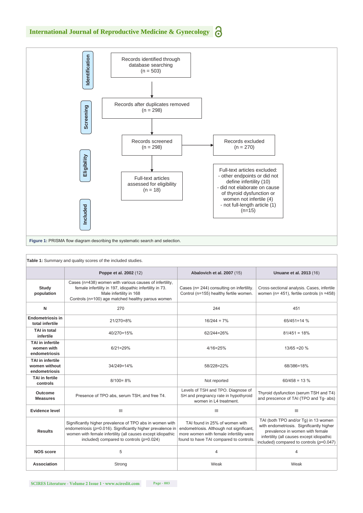

| Table 1: Summary and quality scores of the included studies. |                                                                                                                                                                                                                                          |                                                                                                                                                                  |                                                                                                                                                                                                                |
|--------------------------------------------------------------|------------------------------------------------------------------------------------------------------------------------------------------------------------------------------------------------------------------------------------------|------------------------------------------------------------------------------------------------------------------------------------------------------------------|----------------------------------------------------------------------------------------------------------------------------------------------------------------------------------------------------------------|
|                                                              | Poppe et al. 2002 (12)                                                                                                                                                                                                                   | Abalovich et al. 2007 (15)                                                                                                                                       | Unuane et al. 2013 (16)                                                                                                                                                                                        |
| Study<br>population                                          | Cases (n=438) women with various causes of infertility,<br>female infertility in 197, idiopathic infertility in 73.<br>Male infertility in 168<br>Controls (n=100) age matched healthy parous women                                      | Cases (n= 244) consulting on infertility.<br>Control (n=155) healthy fertile women.                                                                              | Cross-sectional analysis. Cases, infertile<br>women ( $n = 451$ ), fertile controls ( $n = 458$ )                                                                                                              |
| N                                                            | 270                                                                                                                                                                                                                                      | 244                                                                                                                                                              | 451                                                                                                                                                                                                            |
| <b>Endometriosis in</b><br>total infertile                   | 21/270=8%                                                                                                                                                                                                                                | $16/244 = 7%$                                                                                                                                                    | $65/451 = 14 \%$                                                                                                                                                                                               |
| <b>TAI</b> in total<br>infertile                             | 40/270=15%                                                                                                                                                                                                                               | 62/244=26%                                                                                                                                                       | $81/451 = 18%$                                                                                                                                                                                                 |
| <b>TAI</b> in infertile<br>women with<br>endometriosis       | $6/21 = 29%$                                                                                                                                                                                                                             | $4/16 = 25%$                                                                                                                                                     | $13/65 = 20 \%$                                                                                                                                                                                                |
| <b>TAI</b> in infertile<br>women without<br>endometriosis    | 34/249=14%                                                                                                                                                                                                                               | 58/228=22%                                                                                                                                                       | 68/386=18%                                                                                                                                                                                                     |
| <b>TAI</b> in fertile<br>controls                            | $8/100 = 8%$                                                                                                                                                                                                                             | Not reported                                                                                                                                                     | $60/458 = 13 %$                                                                                                                                                                                                |
| Outcome<br><b>Measures</b>                                   | Presence of TPO abs, serum TSH, and free T4.                                                                                                                                                                                             | Levels of TSH and TPO. Diagnose of<br>SH and pregnancy rate in hypothyroid<br>women in L4 treatment.                                                             | Thyroid dysfunction (serum TSH and T4)<br>and prescence of TAI (TPO and Tq- abs)                                                                                                                               |
| <b>Evidence level</b>                                        | $\mathbf{III}$                                                                                                                                                                                                                           | III                                                                                                                                                              | III                                                                                                                                                                                                            |
| <b>Results</b>                                               | Significantly higher prevalence of TPO abs in women with<br>endometriosis ( $p=0.016$ ). Significantly higher prevalence in<br>women with female infertility (all causes except idiopathic<br>included) compared to controls $(p=0.024)$ | TAI found in 25% of women with<br>endometriosis. Although not significant,<br>more women with female infertility were<br>found to have TAI compared to controls. | TAI (both TPO and/or Tg) in 13 women<br>with endometriosis. Significantly higher<br>prevalence in women with female<br>infertility (all causes except idiopathic<br>included) compared to controls $(p=0.047)$ |
| <b>NOS score</b>                                             | 5                                                                                                                                                                                                                                        | 4                                                                                                                                                                | 4                                                                                                                                                                                                              |
| Association                                                  | Strong                                                                                                                                                                                                                                   | Weak                                                                                                                                                             | Weak                                                                                                                                                                                                           |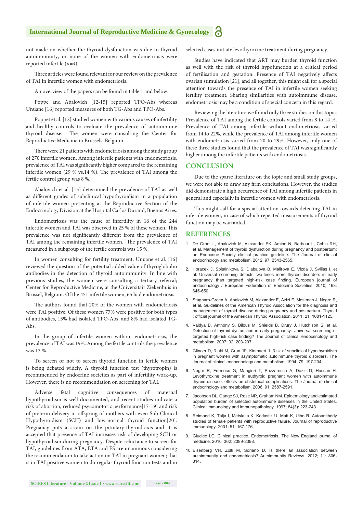#### **International Journal of Reproductive Medicine & Gynecology**

not made on whether the thyroid dysfunction was due to thyroid autoimmunity, or none of the women with endometriosis were reported infertile (*n=4*).

Three articles were found relevant for our review on the prevalence of TAI in infertile women with endometriosis.

An overview of the papers can be found in table 1 and below.

Poppe and Abalovich [12-15] reported TPO-Abs whereas Unuane [16] reported measures of both TG-Abs and TPO-Abs.

Poppet et al. [12] studied women with various causes of infertility and healthy controls to evaluate the prevalence of autoimmune thyroid disease. The women were consulting the Center for Reproductive Medicine in Brussels, Belgium.

There were 21 patients with endometriosis among the study group of 270 infertile women. Among infertile patients with endometriosis, prevalence of TAI was significantly higher compared to the remaining infertile women (29 % vs.14 %). The prevalence of TAI among the fertile control group was 8 %.

Abalovich et al. [15] determined the prevalence of TAI as well as different grades of subclinical hypothyroidism in a population of infertile women presenting at the Reproductive Section of the Endocrinology Division at the Hospital Carlos Durand, Buenos Aires.

Endometriosis was the cause of infertility in 16 of the 244 infertile women and TAI was observed in 25 % of these women. This prevalence was not significantly different from the prevalence of TAI among the remaining infertile women. The prevalence of TAI measured in a subgroup of the fertile controls was 15 %.

In women consulting for fertility treatment, Unuane et al. [16] reviewed the question of the potential added value of thyroglobulin antibodies in the detection of thyroid autoimmunity. In line with previous studies, the women were consulting a tertiary referral; Center for Reproductive Medicine, at the Universitair Ziekenhuis in Brussel, Belgium. Of the 451 infertile women, 65 had endometriosis.

The authors found that 20% of the women with endometriosis were TAI positive. Of these women 77% were positive for both types of antibodies, 15% had isolated TPO-Abs, and 8% had isolated TG-Abs.

In the group of infertile women without endometriosis, the prevalence of TAI was 19%. Among the fertile controls the prevalence was 13 %.

To screen or not to screen thyroid function in fertile women is being debated widely. A thyroid function test (thyrotropin) is recommended by endocrine societies as part of infertility work-up. However, there is no recommendation on screening for TAI.

Adverse fetal cognitive consequences of maternal hypothyroidism is well documented, and recent studies indicate a risk of abortion, reduced psycomotoric performance[17-19] and risk of preterm delivery in offspring of mothers with even Sub Clinical Hypothyroidism (SCH) and low-normal thyroid function[20]. Pregnancy puts a strain on the pituitary-thyroid-axis and it is accepted that presence of TAI increases risk of developing SCH or hypothyroidism during pregnancy. Despite reluctance to screen for TAI, guidelines from ATA, ETA and ES are unanimous considering the recommendation to take action on TAI in pregnant women; that is in TAI positive women to do regular thyroid function tests and in selected cases initiate levothyroxine treatment during pregnancy.

Studies have indicated that ART may burden thyroid function as well with the risk of thyroid hypofunction at a critical period of fertilisation and gestation. Presence of TAI negatively affects ovarian stimulation [21], and all together, this might call for a special attention towards the presence of TAI in infertile women seeking fertility treatment. Sharing similarities with autoimmune disease, endometriosis may be a condition of special concern in this regard.

Reviewing the literature we found only three studies on this topic. Prevalence of TAI among the fertile controls varied from 8 to 14 %. Prevalence of TAI among infertile without endometriosis varied from 14 to 22%, while the prevalence of TAI among infertile women with endometriosis varied from 20 to 29%. However, only one of these three studies found that the prevalence of TAI was significantly higher among the infertile patients with endometriosis.

#### **CONCLUSION**

Due to the sparse literature on the topic and small study groups, we were not able to draw any firm conclusions. However, the studies did demonstrate a high occurrence of TAI among infertile patients in general and especially in infertile women with endometriosis.

This might call for a special attention towards detecting TAI in infertile women, in case of which repeated measurements of thyroid function may be warranted.

#### **REFERENCES**

- 1. [De Groot L, Abalovich M, Alexander EK, Amino N, Barbour L, Cobin RH,](https://www.ncbi.nlm.nih.gov/pubmed/22869843)  [et al. Management of thyroid dysfunction during pregnancy and postpartum:](https://www.ncbi.nlm.nih.gov/pubmed/22869843)  [an Endocrine Society clinical practice guideline. The Journal of clinical](https://www.ncbi.nlm.nih.gov/pubmed/22869843)  [endocrinology and metabolism. 2012; 97: 2543-2565.](https://www.ncbi.nlm.nih.gov/pubmed/22869843)
- 2. [Horacek J, Spitalnikova S, Dlabalova B, Malirova E, Vizda J, Svilias I, et](https://www.ncbi.nlm.nih.gov/pubmed/20682632)  [al. Universal screening detects two-times more thyroid disorders in early](https://www.ncbi.nlm.nih.gov/pubmed/20682632)  [pregnancy than targeted high-risk case finding. European journal of](https://www.ncbi.nlm.nih.gov/pubmed/20682632)  [endocrinology / European Federation of Endocrine Societies. 2010; 163:](https://www.ncbi.nlm.nih.gov/pubmed/20682632)  [645-650.](https://www.ncbi.nlm.nih.gov/pubmed/20682632)
- 3. [Stagnaro-Green A, Abalovich M, Alexander E, Azizi F, Mestman J, Negro R,](https://www.ncbi.nlm.nih.gov/pubmed/21787128)  [et al. Guidelines of the American Thyroid Association for the diagnosis and](https://www.ncbi.nlm.nih.gov/pubmed/21787128)  [management of thyroid disease during pregnancy and postpartum. Thyroid](https://www.ncbi.nlm.nih.gov/pubmed/21787128)  [: official journal of the American Thyroid Association. 2011; 21: 1081-1125.](https://www.ncbi.nlm.nih.gov/pubmed/21787128)
- 4. [Vaidya B, Anthony S, Bilous M, Shields B, Drury J, Hutchison S, et al.](https://www.researchgate.net/publication/6761964_Detection_of_Thyroid_Dysfunction_in_Early_Pregnancy_Universal_Screening_or_Targeted_High-Risk_Case_Finding)  [Detection of thyroid dysfunction in early pregnancy: Universal screening or](https://www.researchgate.net/publication/6761964_Detection_of_Thyroid_Dysfunction_in_Early_Pregnancy_Universal_Screening_or_Targeted_High-Risk_Case_Finding)  [targeted high-risk case finding? The Journal of clinical endocrinology and](https://www.researchgate.net/publication/6761964_Detection_of_Thyroid_Dysfunction_in_Early_Pregnancy_Universal_Screening_or_Targeted_High-Risk_Case_Finding)  [metabolism. 2007; 92: 203-207.](https://www.researchgate.net/publication/6761964_Detection_of_Thyroid_Dysfunction_in_Early_Pregnancy_Universal_Screening_or_Targeted_High-Risk_Case_Finding)
- 5. [Glinoer D, Riahi M, Grun JP, Kinthaert J. Risk of subclinical hypothyroidism](https://www.ncbi.nlm.nih.gov/pubmed/8027226)  [in pregnant women with asymptomatic autoimmune thyroid disorders. The](https://www.ncbi.nlm.nih.gov/pubmed/8027226)  [Journal of clinical endocrinology and metabolism. 1994; 79: 197-204.](https://www.ncbi.nlm.nih.gov/pubmed/8027226)
- 6. [Negro R, Formoso G, Mangieri T, Pezzarossa A, Dazzi D, Hassan H.](https://www.ncbi.nlm.nih.gov/pubmed/16621910)  [Levothyroxine treatment in euthyroid pregnant women with autoimmune](https://www.ncbi.nlm.nih.gov/pubmed/16621910)  [thyroid disease: effects on obstetrical complications. The Journal of clinical](https://www.ncbi.nlm.nih.gov/pubmed/16621910)  [endocrinology and metabolism. 2006; 91: 2587-2591.](https://www.ncbi.nlm.nih.gov/pubmed/16621910)
- 7. [Jacobson DL, Gange SJ, Rose NR, Graham NM. Epidemiology and estimated](https://www.ncbi.nlm.nih.gov/pubmed/9281381)  [population burden of selected autoimmune diseases in the United States.](https://www.ncbi.nlm.nih.gov/pubmed/9281381)  [Clinical immunology and immunopathology. 1997; 84\(3\): 223-243.](https://www.ncbi.nlm.nih.gov/pubmed/9281381)
- 8. [Reimand K, Talja I, Metskula K, Kadastik U, Matt K, Uibo R. Autoantibody](https://www.ncbi.nlm.nih.gov/pubmed/11543855)  [studies of female patients with reproductive failure. Journal of reproductive](https://www.ncbi.nlm.nih.gov/pubmed/11543855)  [immunology. 2001; 51: 167-176.](https://www.ncbi.nlm.nih.gov/pubmed/11543855)
- 9. [Giudice LC. Clinical practice. Endometriosis. The New England journal of](https://www.ncbi.nlm.nih.gov/pubmed/20573927)  [medicine. 2010; 362: 2389-2398.](https://www.ncbi.nlm.nih.gov/pubmed/20573927)
- 10. [Eisenberg VH, Zolti M, Soriano D. Is there an association between](https://www.ncbi.nlm.nih.gov/pubmed/22330229)  [autoimmunity and endometriosis? Autoimmunity Reviews. 2012; 11: 806-](https://www.ncbi.nlm.nih.gov/pubmed/22330229) [814.](https://www.ncbi.nlm.nih.gov/pubmed/22330229)